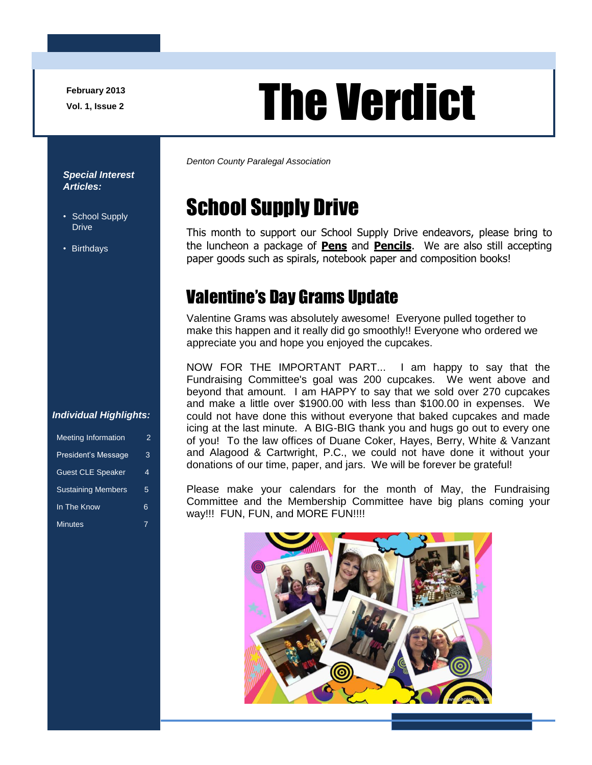**February 2013**

# February 2013<br>Vol. 1, Issue 2

*Denton County Paralegal Association*

# School Supply Drive

This month to support our School Supply Drive endeavors, please bring to the luncheon a package of **Pens** and **Pencils**. We are also still accepting paper goods such as spirals, notebook paper and composition books!

### Valentine's Day Grams Update

Valentine Grams was absolutely awesome! Everyone pulled together to make this happen and it really did go smoothly!! Everyone who ordered we appreciate you and hope you enjoyed the cupcakes.

NOW FOR THE IMPORTANT PART... I am happy to say that the Fundraising Committee's goal was 200 cupcakes. We went above and beyond that amount. I am HAPPY to say that we sold over 270 cupcakes and make a little over \$1900.00 with less than \$100.00 in expenses. We could not have done this without everyone that baked cupcakes and made icing at the last minute. A BIG-BIG thank you and hugs go out to every one of you! To the law offices of Duane Coker, Hayes, Berry, White & Vanzant and Alagood & Cartwright, P.C., we could not have done it without your donations of our time, paper, and jars. We will be forever be grateful!

Please make your calendars for the month of May, the Fundraising Committee and the Membership Committee have big plans coming your way!!! FUN, FUN, and MORE FUN!!!!



#### *Special Interest Articles:*

- School Supply Drive
- Birthdays

#### *Individual Highlights:*

| <b>Meeting Information</b> | 2 |
|----------------------------|---|
| President's Message        | 3 |
| <b>Guest CLE Speaker</b>   | 4 |
| <b>Sustaining Members</b>  | 5 |
| In The Know                | 6 |
| <b>Minutes</b>             |   |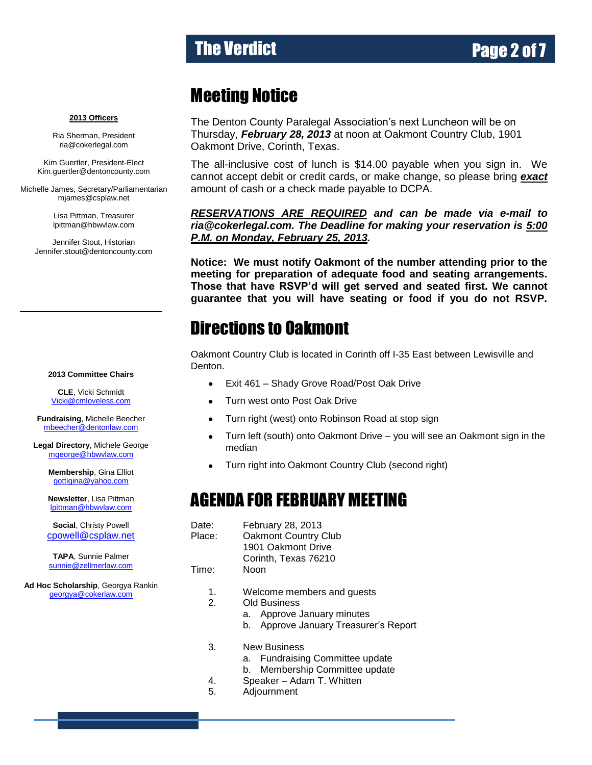# The Verdict **Page 2 of 7**

### Meeting Notice

The Denton County Paralegal Association's next Luncheon will be on Thursday, *February 28, 2013* at noon at Oakmont Country Club, 1901 Oakmont Drive, Corinth, Texas.

The all-inclusive cost of lunch is \$14.00 payable when you sign in. We cannot accept debit or credit cards, or make change, so please bring *exact* amount of cash or a check made payable to DCPA.

*RESERVATIONS ARE REQUIRED and can be made via e-mail to ria@cokerlegal.com. The Deadline for making your reservation is 5:00 P.M. on Monday, February 25, 2013.*

**Notice: We must notify Oakmont of the number attending prior to the meeting for preparation of adequate food and seating arrangements. Those that have RSVP'd will get served and seated first. We cannot guarantee that you will have seating or food if you do not RSVP.** 

## **Directions to Oakmont**

Oakmont Country Club is located in Corinth off I-35 East between Lewisville and Denton.

- Exit 461 Shady Grove Road/Post Oak Drive  $\bullet$
- Turn west onto Post Oak Drive  $\bullet$
- Turn right (west) onto Robinson Road at stop sign
- Turn left (south) onto Oakmont Drive you will see an Oakmont sign in the median
- Turn right into Oakmont Country Club (second right)  $\bullet$

### AGENDA FOR FEBRUARY MEETING

- Date: February 28, 2013 Place: Oakmont Country Club 1901 Oakmont Drive Corinth, Texas 76210
- Time: Noon
	- 1. Welcome members and guests

2. Old Business

- a. Approve January minutes
	- b. Approve January Treasurer's Report
- 3. New Business
	- a. Fundraising Committee update
	- b. Membership Committee update
- 4. Speaker Adam T. Whitten
- 5. Adjournment

#### **2013 Officers**

Ria Sherman, President [ria@cokerlegal.com](mailto:ria@cokerlegal.com)

Kim Guertler, President-Elect [Kim.guertler@dentoncounty.com](mailto:Kim.guertler@dentoncounty.com)

Michelle James, Secretary/Parliamentarian [mjames@csplaw.net](mailto:mjames@csplaw.net)

> Lisa Pittman, Treasurer [lpittman@hbwvlaw.com](mailto:lpittman@hbwvlaw.com)

Jennifer Stout, Historian Jennifer.stout@dentoncounty.com

#### **2013 Committee Chairs**

**CLE**, Vicki Schmidt [Vicki@cmloveless.com](mailto:Vicki@cmloveless.com)

**Fundraising**, Michelle Beecher [mbeecher@dentonlaw.com](mailto:mbeecher@dentonlaw.com)

**Legal Directory**, Michele George [mgeorge@hbwvlaw.com](mailto:mgeorge@hbwvlaw.com)

> **Membership**, Gina Elliot [gottigina@yahoo.com](mailto:gottigina@yahoo.com)

> **Newsletter**, Lisa Pittman [lpittman@hbwvlaw.com](mailto:lpittman@hbwvlaw.com)

**Social**, Christy Powell [cpowell@csplaw.net](mailto:cpowell@csplaw.net)

**TAPA**, Sunnie Palmer [sunnie@zellmerlaw.com](mailto:sunnie@zellmerlaw.com)

**Ad Hoc Scholarship**, Georgya Rankin [georgya@cokerlaw.com](mailto:georgya@cokerlaw.com)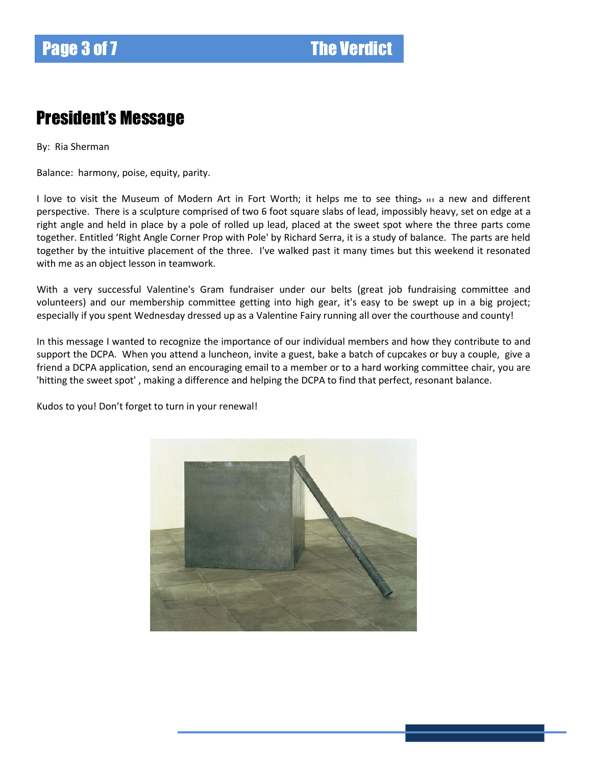### President's Message

By: Ria Sherman

Balance: harmony, poise, equity, parity.

I love to visit the Museum of Modern Art in Fort Worth; it helps me to see things in a new and different perspective. There is a sculpture comprised of two 6 foot square slabs of lead, impossibly heavy, set on edge at a right angle and held in place by a pole of rolled up lead, placed at the sweet spot where the three parts come together. Entitled 'Right Angle Corner Prop with Pole' by Richard Serra, it is a study of balance. The parts are held together by the intuitive placement of the three. I've walked past it many times but this weekend it resonated with me as an object lesson in teamwork.

With a very successful Valentine's Gram fundraiser under our belts (great job fundraising committee and volunteers) and our membership committee getting into high gear, it's easy to be swept up in a big project; especially if you spent Wednesday dressed up as a Valentine Fairy running all over the courthouse and county!

In this message I wanted to recognize the importance of our individual members and how they contribute to and support the DCPA. When you attend a luncheon, invite a guest, bake a batch of cupcakes or buy a couple, give a friend a DCPA application, send an encouraging email to a member or to a hard working committee chair, you are 'hitting the sweet spot' , making a difference and helping the DCPA to find that perfect, resonant balance.

Kudos to you! Don't forget to turn in your renewal!

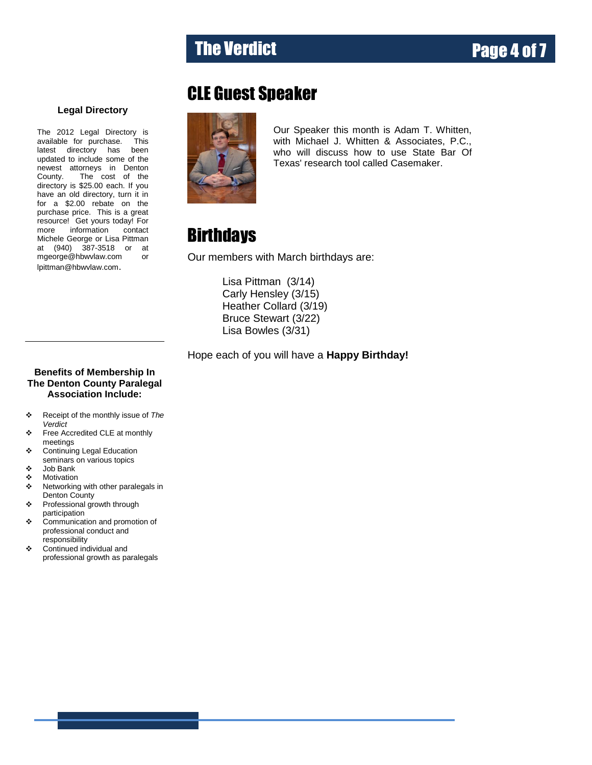# The Verdict **The Verdict**

### CLE Guest Speaker



Our Speaker this month is Adam T. Whitten, with Michael J. Whitten & Associates, P.C., who will discuss how to use State Bar Of Texas' research tool called Casemaker.

### **Birthdays**

Our members with March birthdays are:

Lisa Pittman (3/14) Carly Hensley (3/15) Heather Collard (3/19) Bruce Stewart (3/22) Lisa Bowles (3/31)

Hope each of you will have a **Happy Birthday!**

#### **Benefits of Membership In The Denton County Paralegal Association Include:**

**Legal Directory**

The 2012 Legal Directory is available for purchase. This latest directory has been updated to include some of the newest attorneys in Denton County. The cost of the directory is \$25.00 each. If you have an old directory, turn it in for a \$2.00 rebate on the purchase price. This is a great resource! Get yours today! For<br>more information contact information contact Michele George or Lisa Pittman at (940) 387-3518 or at [mgeorge@hbwvlaw.com](mailto:mgeorge@hbwvlaw.com) or [lpittman@hbwvlaw.com](mailto:lpittman@hbwvlaw.com).

- Receipt of the monthly issue of *The Verdict*
- Free Accredited CLE at monthly meetings
- Continuing Legal Education seminars on various topics
- Job Bank
- ❖ Motivation
- ❖ Networking with other paralegals in Denton County
- Professional growth through participation
- Communication and promotion of professional conduct and responsibility
- Continued individual and professional growth as paralegals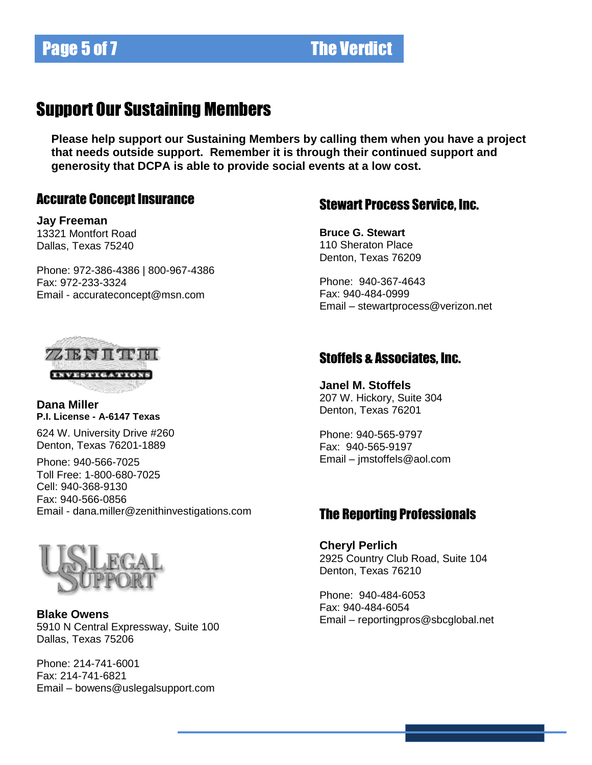### Support Our Sustaining Members

**Please help support our Sustaining Members by calling them when you have a project that needs outside support. Remember it is through their continued support and generosity that DCPA is able to provide social events at a low cost.**

### Accurate Concept Insurance

**Jay Freeman** 13321 Montfort Road Dallas, Texas 75240

Phone: 972-386-4386 | 800-967-4386 Fax: 972-233-3324 Email - [accurateconcept@msn.com](mailto:accurateconcept@msn.com)

### Stewart Process Service, Inc.

**Bruce G. Stewart** 110 Sheraton Place Denton, Texas 76209

Phone: 940-367-4643 Fax: 940-484-0999 Email – [stewartprocess@verizon.net](mailto:stewartprocess@verizon.net)



#### **Dana Miller P.I. License - A-6147 Texas**

624 W. University Drive #260 Denton, Texas 76201-1889

Phone: 940-566-7025 Toll Free: 1-800-680-7025 Cell: 940-368-9130 Fax: 940-566-0856 Email - [dana.miller@zenithinvestigations.com](http://zenithinvestigations.com/mail.zenithinvestigations.com)



**Blake Owens** 5910 N Central Expressway, Suite 100 Dallas, Texas 75206

Phone: 214-741-6001 Fax: 214-741-6821 Email – bowens@uslegalsupport.com

### Stoffels & Associates, Inc.

**Janel M. Stoffels** 207 W. Hickory, Suite 304 Denton, Texas 76201

Phone: 940-565-9797 Fax: 940-565-9197 Email – [jmstoffels@aol.com](mailto:jmstoffels@aol.com)

#### The Reporting Professionals

**Cheryl Perlich** 2925 Country Club Road, Suite 104 Denton, Texas 76210

Phone: 940-484-6053 Fax: 940-484-6054 Email – reportingpros@sbcglobal.net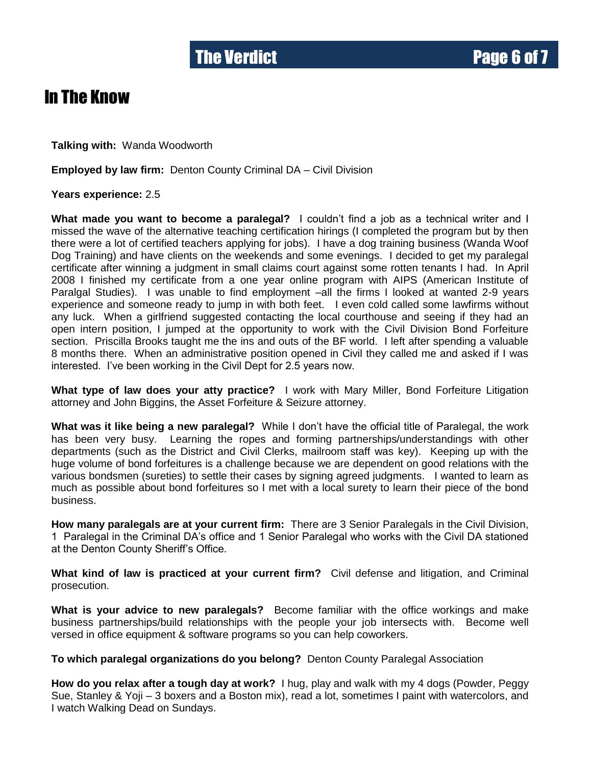### In The Know

**Talking with:** Wanda Woodworth

**Employed by law firm:** Denton County Criminal DA – Civil Division

**Years experience:** 2.5

**What made you want to become a paralegal?** I couldn't find a job as a technical writer and I missed the wave of the alternative teaching certification hirings (I completed the program but by then there were a lot of certified teachers applying for jobs). I have a dog training business (Wanda Woof Dog Training) and have clients on the weekends and some evenings. I decided to get my paralegal certificate after winning a judgment in small claims court against some rotten tenants I had. In April 2008 I finished my certificate from a one year online program with AIPS (American Institute of Paralgal Studies). I was unable to find employment –all the firms I looked at wanted 2-9 years experience and someone ready to jump in with both feet. I even cold called some lawfirms without any luck. When a girlfriend suggested contacting the local courthouse and seeing if they had an open intern position, I jumped at the opportunity to work with the Civil Division Bond Forfeiture section. Priscilla Brooks taught me the ins and outs of the BF world. I left after spending a valuable 8 months there. When an administrative position opened in Civil they called me and asked if I was interested. I've been working in the Civil Dept for 2.5 years now.

**What type of law does your atty practice?** I work with Mary Miller, Bond Forfeiture Litigation attorney and John Biggins, the Asset Forfeiture & Seizure attorney.

**What was it like being a new paralegal?** While I don't have the official title of Paralegal, the work has been very busy. Learning the ropes and forming partnerships/understandings with other departments (such as the District and Civil Clerks, mailroom staff was key). Keeping up with the huge volume of bond forfeitures is a challenge because we are dependent on good relations with the various bondsmen (sureties) to settle their cases by signing agreed judgments. I wanted to learn as much as possible about bond forfeitures so I met with a local surety to learn their piece of the bond business.

**How many paralegals are at your current firm:** There are 3 Senior Paralegals in the Civil Division, 1 Paralegal in the Criminal DA's office and 1 Senior Paralegal who works with the Civil DA stationed at the Denton County Sheriff's Office.

**What kind of law is practiced at your current firm?** Civil defense and litigation, and Criminal prosecution.

**What is your advice to new paralegals?** Become familiar with the office workings and make business partnerships/build relationships with the people your job intersects with. Become well versed in office equipment & software programs so you can help coworkers.

**To which paralegal organizations do you belong?** Denton County Paralegal Association

**How do you relax after a tough day at work?** I hug, play and walk with my 4 dogs (Powder, Peggy Sue, Stanley & Yoji – 3 boxers and a Boston mix), read a lot, sometimes I paint with watercolors, and I watch Walking Dead on Sundays.